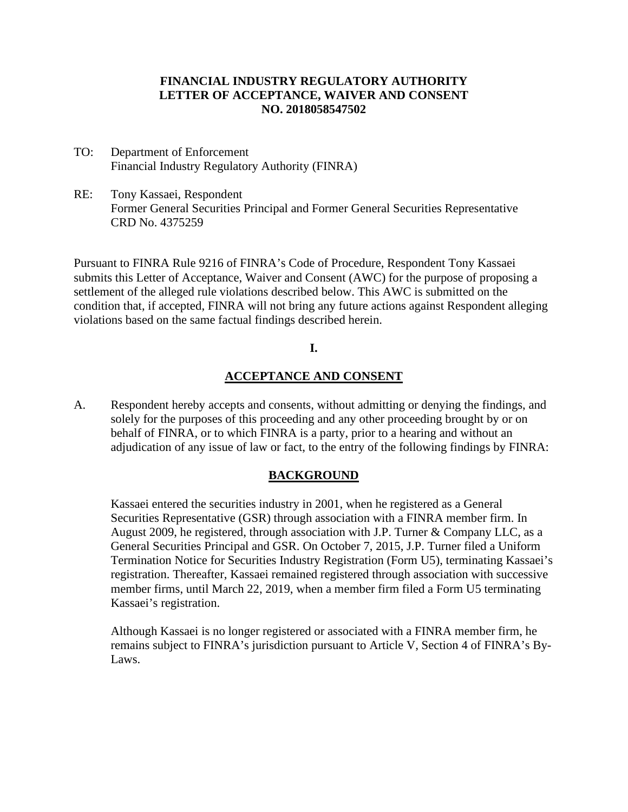### **FINANCIAL INDUSTRY REGULATORY AUTHORITY LETTER OF ACCEPTANCE, WAIVER AND CONSENT NO. 2018058547502**

- TO: Department of Enforcement Financial Industry Regulatory Authority (FINRA)
- RE: Tony Kassaei, Respondent Former General Securities Principal and Former General Securities Representative CRD No. 4375259

Pursuant to FINRA Rule 9216 of FINRA's Code of Procedure, Respondent Tony Kassaei submits this Letter of Acceptance, Waiver and Consent (AWC) for the purpose of proposing a settlement of the alleged rule violations described below. This AWC is submitted on the condition that, if accepted, FINRA will not bring any future actions against Respondent alleging violations based on the same factual findings described herein.

### **I.**

### **ACCEPTANCE AND CONSENT**

A. Respondent hereby accepts and consents, without admitting or denying the findings, and solely for the purposes of this proceeding and any other proceeding brought by or on behalf of FINRA, or to which FINRA is a party, prior to a hearing and without an adjudication of any issue of law or fact, to the entry of the following findings by FINRA:

### **BACKGROUND**

Kassaei entered the securities industry in 2001, when he registered as a General Securities Representative (GSR) through association with a FINRA member firm. In August 2009, he registered, through association with J.P. Turner & Company LLC, as a General Securities Principal and GSR. On October 7, 2015, J.P. Turner filed a Uniform Termination Notice for Securities Industry Registration (Form U5), terminating Kassaei's registration. Thereafter, Kassaei remained registered through association with successive member firms, until March 22, 2019, when a member firm filed a Form U5 terminating Kassaei's registration.

Although Kassaei is no longer registered or associated with a FINRA member firm, he remains subject to FINRA's jurisdiction pursuant to Article V, Section 4 of FINRA's By-Laws.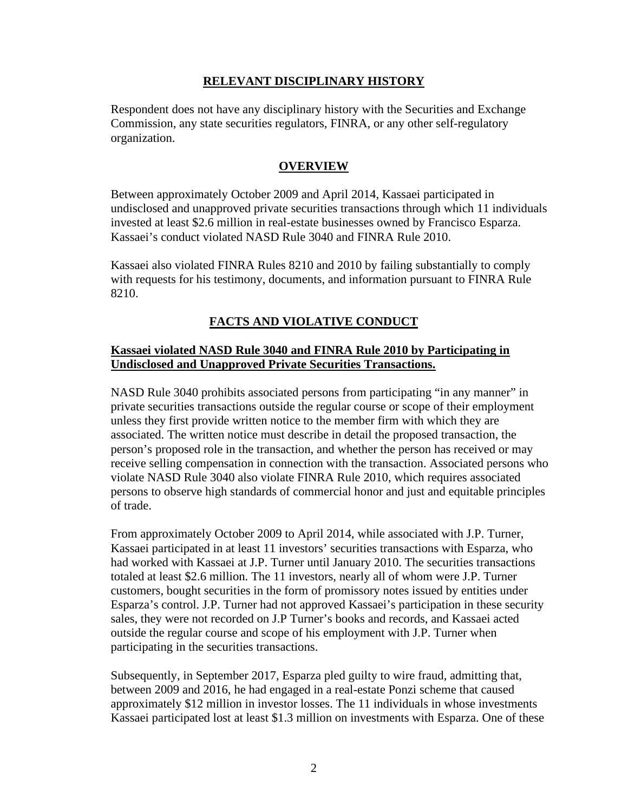### **RELEVANT DISCIPLINARY HISTORY**

Respondent does not have any disciplinary history with the Securities and Exchange Commission, any state securities regulators, FINRA, or any other self-regulatory organization.

## **OVERVIEW**

Between approximately October 2009 and April 2014, Kassaei participated in undisclosed and unapproved private securities transactions through which 11 individuals invested at least \$2.6 million in real-estate businesses owned by Francisco Esparza. Kassaei's conduct violated NASD Rule 3040 and FINRA Rule 2010.

Kassaei also violated FINRA Rules 8210 and 2010 by failing substantially to comply with requests for his testimony, documents, and information pursuant to FINRA Rule 8210.

# **FACTS AND VIOLATIVE CONDUCT**

# **Kassaei violated NASD Rule 3040 and FINRA Rule 2010 by Participating in Undisclosed and Unapproved Private Securities Transactions.**

NASD Rule 3040 prohibits associated persons from participating "in any manner" in private securities transactions outside the regular course or scope of their employment unless they first provide written notice to the member firm with which they are associated. The written notice must describe in detail the proposed transaction, the person's proposed role in the transaction, and whether the person has received or may receive selling compensation in connection with the transaction. Associated persons who violate NASD Rule 3040 also violate FINRA Rule 2010, which requires associated persons to observe high standards of commercial honor and just and equitable principles of trade.

From approximately October 2009 to April 2014, while associated with J.P. Turner, Kassaei participated in at least 11 investors' securities transactions with Esparza, who had worked with Kassaei at J.P. Turner until January 2010. The securities transactions totaled at least \$2.6 million. The 11 investors, nearly all of whom were J.P. Turner customers, bought securities in the form of promissory notes issued by entities under Esparza's control. J.P. Turner had not approved Kassaei's participation in these security sales, they were not recorded on J.P Turner's books and records, and Kassaei acted outside the regular course and scope of his employment with J.P. Turner when participating in the securities transactions.

Subsequently, in September 2017, Esparza pled guilty to wire fraud, admitting that, between 2009 and 2016, he had engaged in a real-estate Ponzi scheme that caused approximately \$12 million in investor losses. The 11 individuals in whose investments Kassaei participated lost at least \$1.3 million on investments with Esparza. One of these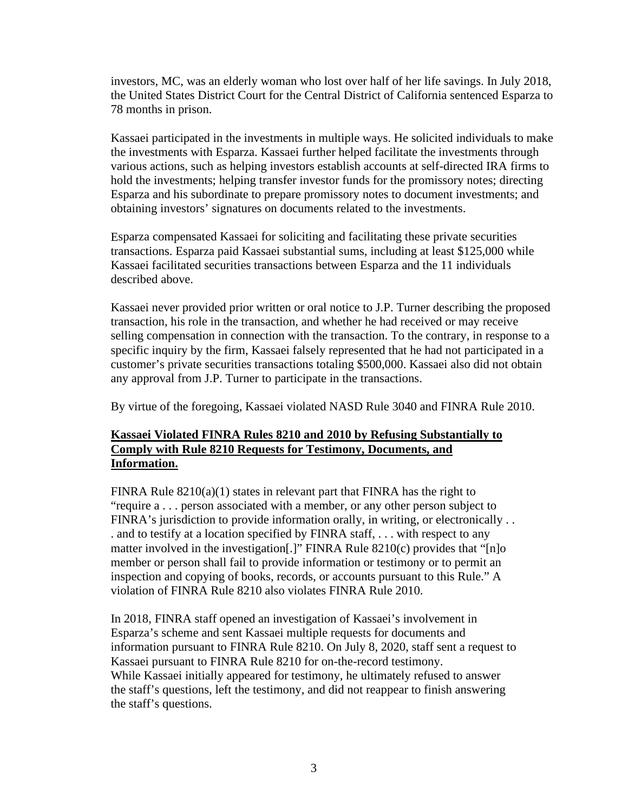investors, MC, was an elderly woman who lost over half of her life savings. In July 2018, the United States District Court for the Central District of California sentenced Esparza to 78 months in prison.

Kassaei participated in the investments in multiple ways. He solicited individuals to make the investments with Esparza. Kassaei further helped facilitate the investments through various actions, such as helping investors establish accounts at self-directed IRA firms to hold the investments; helping transfer investor funds for the promissory notes; directing Esparza and his subordinate to prepare promissory notes to document investments; and obtaining investors' signatures on documents related to the investments.

Esparza compensated Kassaei for soliciting and facilitating these private securities transactions. Esparza paid Kassaei substantial sums, including at least \$125,000 while Kassaei facilitated securities transactions between Esparza and the 11 individuals described above.

Kassaei never provided prior written or oral notice to J.P. Turner describing the proposed transaction, his role in the transaction, and whether he had received or may receive selling compensation in connection with the transaction. To the contrary, in response to a specific inquiry by the firm, Kassaei falsely represented that he had not participated in a customer's private securities transactions totaling \$500,000. Kassaei also did not obtain any approval from J.P. Turner to participate in the transactions.

By virtue of the foregoing, Kassaei violated NASD Rule 3040 and FINRA Rule 2010.

# **Kassaei Violated FINRA Rules 8210 and 2010 by Refusing Substantially to Comply with Rule 8210 Requests for Testimony, Documents, and Information.**

FINRA Rule  $8210(a)(1)$  states in relevant part that FINRA has the right to "require a . . . person associated with a member, or any other person subject to FINRA's jurisdiction to provide information orally, in writing, or electronically . . . and to testify at a location specified by FINRA staff, . . . with respect to any matter involved in the investigation.<sup>[1]</sup> FINRA Rule  $8210(c)$  provides that "[n]o member or person shall fail to provide information or testimony or to permit an inspection and copying of books, records, or accounts pursuant to this Rule." A violation of FINRA Rule 8210 also violates FINRA Rule 2010.

In 2018, FINRA staff opened an investigation of Kassaei's involvement in Esparza's scheme and sent Kassaei multiple requests for documents and information pursuant to FINRA Rule 8210. On July 8, 2020, staff sent a request to Kassaei pursuant to FINRA Rule 8210 for on-the-record testimony. While Kassaei initially appeared for testimony, he ultimately refused to answer the staff's questions, left the testimony, and did not reappear to finish answering the staff's questions.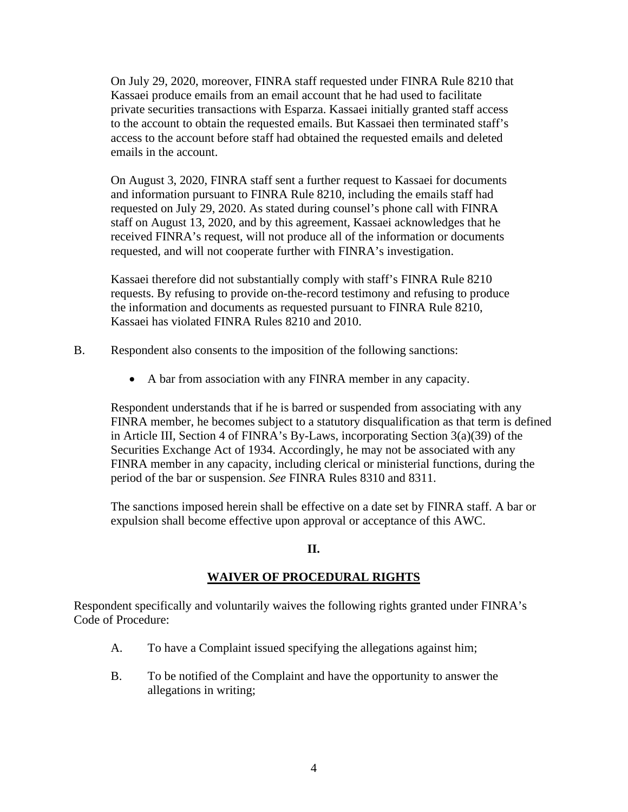On July 29, 2020, moreover, FINRA staff requested under FINRA Rule 8210 that Kassaei produce emails from an email account that he had used to facilitate private securities transactions with Esparza. Kassaei initially granted staff access to the account to obtain the requested emails. But Kassaei then terminated staff's access to the account before staff had obtained the requested emails and deleted emails in the account.

On August 3, 2020, FINRA staff sent a further request to Kassaei for documents and information pursuant to FINRA Rule 8210, including the emails staff had requested on July 29, 2020. As stated during counsel's phone call with FINRA staff on August 13, 2020, and by this agreement, Kassaei acknowledges that he received FINRA's request, will not produce all of the information or documents requested, and will not cooperate further with FINRA's investigation.

Kassaei therefore did not substantially comply with staff's FINRA Rule 8210 requests. By refusing to provide on-the-record testimony and refusing to produce the information and documents as requested pursuant to FINRA Rule 8210, Kassaei has violated FINRA Rules 8210 and 2010.

- B. Respondent also consents to the imposition of the following sanctions:
	- A bar from association with any FINRA member in any capacity.

Respondent understands that if he is barred or suspended from associating with any FINRA member, he becomes subject to a statutory disqualification as that term is defined in Article III, Section 4 of FINRA's By-Laws, incorporating Section 3(a)(39) of the Securities Exchange Act of 1934. Accordingly, he may not be associated with any FINRA member in any capacity, including clerical or ministerial functions, during the period of the bar or suspension. *See* FINRA Rules 8310 and 8311.

The sanctions imposed herein shall be effective on a date set by FINRA staff. A bar or expulsion shall become effective upon approval or acceptance of this AWC.

### **II.**

### **WAIVER OF PROCEDURAL RIGHTS**

Respondent specifically and voluntarily waives the following rights granted under FINRA's Code of Procedure:

- A. To have a Complaint issued specifying the allegations against him;
- B. To be notified of the Complaint and have the opportunity to answer the allegations in writing;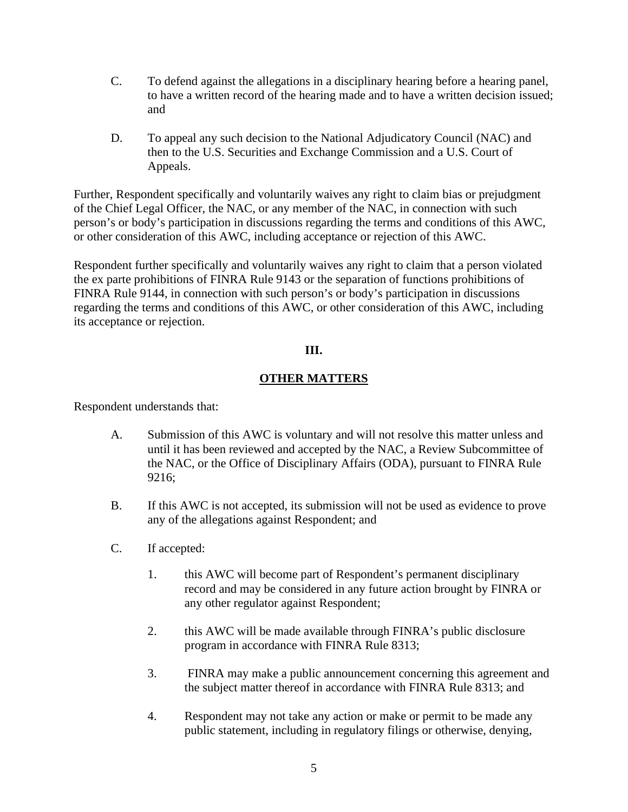- C. To defend against the allegations in a disciplinary hearing before a hearing panel, to have a written record of the hearing made and to have a written decision issued; and
- D. To appeal any such decision to the National Adjudicatory Council (NAC) and then to the U.S. Securities and Exchange Commission and a U.S. Court of Appeals.

Further, Respondent specifically and voluntarily waives any right to claim bias or prejudgment of the Chief Legal Officer, the NAC, or any member of the NAC, in connection with such person's or body's participation in discussions regarding the terms and conditions of this AWC, or other consideration of this AWC, including acceptance or rejection of this AWC.

Respondent further specifically and voluntarily waives any right to claim that a person violated the ex parte prohibitions of FINRA Rule 9143 or the separation of functions prohibitions of FINRA Rule 9144, in connection with such person's or body's participation in discussions regarding the terms and conditions of this AWC, or other consideration of this AWC, including its acceptance or rejection.

## **III.**

# **OTHER MATTERS**

Respondent understands that:

- A. Submission of this AWC is voluntary and will not resolve this matter unless and until it has been reviewed and accepted by the NAC, a Review Subcommittee of the NAC, or the Office of Disciplinary Affairs (ODA), pursuant to FINRA Rule 9216;
- B. If this AWC is not accepted, its submission will not be used as evidence to prove any of the allegations against Respondent; and
- C. If accepted:
	- 1. this AWC will become part of Respondent's permanent disciplinary record and may be considered in any future action brought by FINRA or any other regulator against Respondent;
	- 2. this AWC will be made available through FINRA's public disclosure program in accordance with FINRA Rule 8313;
	- 3. FINRA may make a public announcement concerning this agreement and the subject matter thereof in accordance with FINRA Rule 8313; and
	- 4. Respondent may not take any action or make or permit to be made any public statement, including in regulatory filings or otherwise, denying,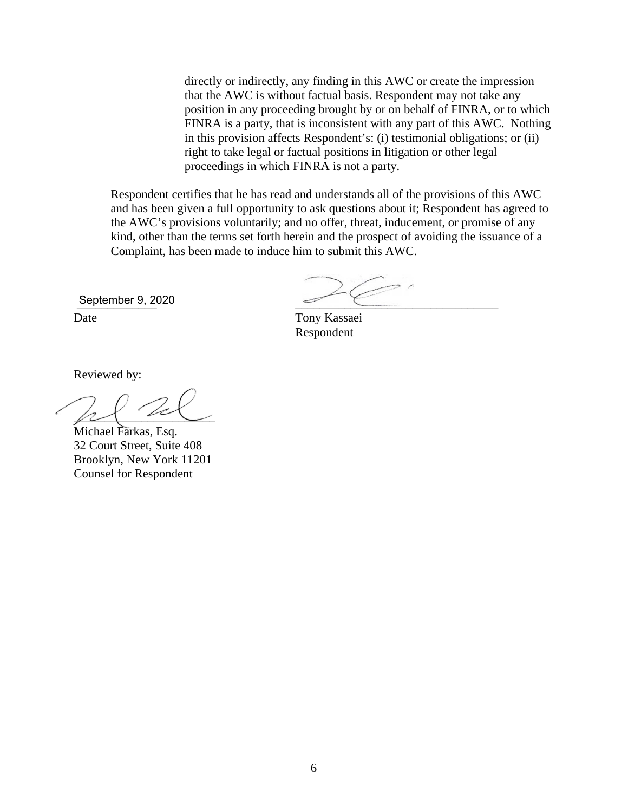directly or indirectly, any finding in this AWC or create the impression that the AWC is without factual basis. Respondent may not take any position in any proceeding brought by or on behalf of FINRA, or to which FINRA is a party, that is inconsistent with any part of this AWC. Nothing in this provision affects Respondent's: (i) testimonial obligations; or (ii) right to take legal or factual positions in litigation or other legal proceedings in which FINRA is not a party.

Respondent certifies that he has read and understands all of the provisions of this AWC and has been given a full opportunity to ask questions about it; Respondent has agreed to the AWC's provisions voluntarily; and no offer, threat, inducement, or promise of any kind, other than the terms set forth herein and the prospect of avoiding the issuance of a Complaint, has been made to induce him to submit this AWC.

September 9, 2020

Date Tony Kassaei Respondent

Reviewed by:

 $\rho$ 

Michael Farkas, Esq. 32 Court Street, Suite 408 Brooklyn, New York 11201 Counsel for Respondent